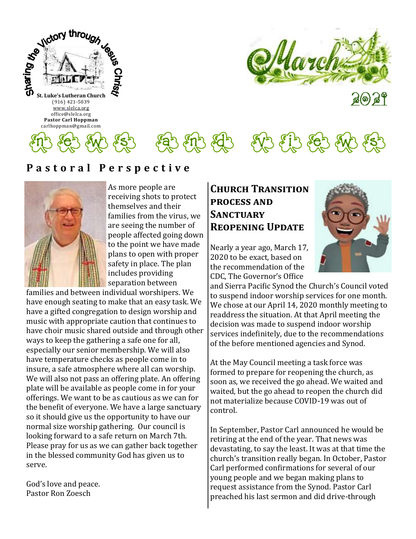



ัส(ต) ส 1

 $\mathcal{E}$ n  $\mathcal{E}$ 

## **P a s t o r a l P e r s p e c t i v e**



As more people are receiving shots to protect themselves and their families from the virus, we are seeing the number of people affected going down to the point we have made plans to open with proper safety in place. The plan includes providing separation between

families and between individual worshipers. We have enough seating to make that an easy task. We have a gifted congregation to design worship and music with appropriate caution that continues to have choir music shared outside and through other ways to keep the gathering a safe one for all, especially our senior membership. We will also have temperature checks as people come in to insure, a safe atmosphere where all can worship. We will also not pass an offering plate. An offering plate will be available as people come in for your offerings. We want to be as cautious as we can for the benefit of everyone. We have a large sanctuary so it should give us the opportunity to have our normal size worship gathering. Our council is looking forward to a safe return on March 7th. Please pray for us as we can gather back together in the blessed community God has given us to serve.

God's love and peace. Pastor Ron Zoesch

### **Church Transition process and Sanctuary Reopening Update**

Nearly a year ago, March 17, 2020 to be exact, based on the recommendation of the CDC, The Governor's Office



and Sierra Pacific Synod the Church's Council voted to suspend indoor worship services for one month. We chose at our April 14, 2020 monthly meeting to readdress the situation. At that April meeting the decision was made to suspend indoor worship services indefinitely, due to the recommendations of the before mentioned agencies and Synod.

At the May Council meeting a task force was formed to prepare for reopening the church, as soon as, we received the go ahead. We waited and waited, but the go ahead to reopen the church did not materialize because COVID-19 was out of control.

In September, Pastor Carl announced he would be retiring at the end of the year. That news was devastating, to say the least. It was at that time the church's transition really began. In October, Pastor Carl performed confirmations for several of our young people and we began making plans to request assistance from the Synod. Pastor Carl preached his last sermon and did drive-through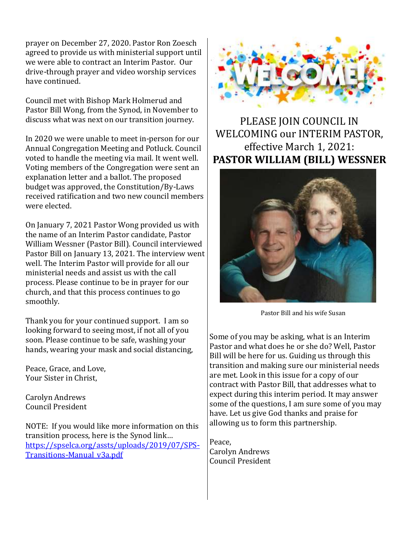prayer on December 27, 2020. Pastor Ron Zoesch agreed to provide us with ministerial support until we were able to contract an Interim Pastor. Our drive-through prayer and video worship services have continued.

Council met with Bishop Mark Holmerud and Pastor Bill Wong, from the Synod, in November to discuss what was next on our transition journey.

In 2020 we were unable to meet in-person for our Annual Congregation Meeting and Potluck. Council voted to handle the meeting via mail. It went well. Voting members of the Congregation were sent an explanation letter and a ballot. The proposed budget was approved, the Constitution/By-Laws received ratification and two new council members were elected.

On January 7, 2021 Pastor Wong provided us with the name of an Interim Pastor candidate, Pastor William Wessner (Pastor Bill). Council interviewed Pastor Bill on January 13, 2021. The interview went well. The Interim Pastor will provide for all our ministerial needs and assist us with the call process. Please continue to be in prayer for our church, and that this process continues to go smoothly.

Thank you for your continued support. I am so looking forward to seeing most, if not all of you soon. Please continue to be safe, washing your hands, wearing your mask and social distancing,

Peace, Grace, and Love, Your Sister in Christ,

Carolyn Andrews Council President

NOTE: If you would like more information on this transition process, here is the Synod link… [https://spselca.org/assts/uploads/2019/07/SPS-](https://spselca.org/assts/uploads/2019/07/SPS-Transitions-Manual_v3a.pdf)[Transitions-Manual\\_v3a.pdf](https://spselca.org/assts/uploads/2019/07/SPS-Transitions-Manual_v3a.pdf)



PLEASE JOIN COUNCIL IN WELCOMING our INTERIM PASTOR, effective March 1, 2021: **PASTOR WILLIAM (BILL) WESSNER**



Pastor Bill and his wife Susan

Some of you may be asking, what is an Interim Pastor and what does he or she do? Well, Pastor Bill will be here for us. Guiding us through this transition and making sure our ministerial needs are met. Look in this issue for a copy of our contract with Pastor Bill, that addresses what to expect during this interim period. It may answer some of the questions, I am sure some of you may have. Let us give God thanks and praise for allowing us to form this partnership.

Peace, Carolyn Andrews Council President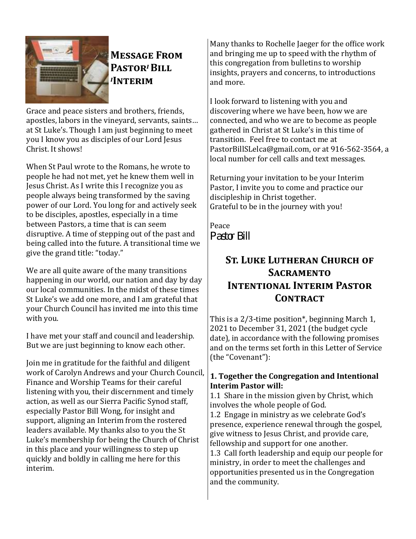

# **Message From Pastor***i* **Bill**  *<sup>i</sup>***Interim**

Grace and peace sisters and brothers, friends, apostles, labors in the vineyard, servants, saints… at St Luke's. Though I am just beginning to meet you I know you as disciples of our Lord Jesus Christ. It shows!

When St Paul wrote to the Romans, he wrote to people he had not met, yet he knew them well in Jesus Christ. As I write this I recognize you as people always being transformed by the saving power of our Lord. You long for and actively seek to be disciples, apostles, especially in a time between Pastors, a time that is can seem disruptive. A time of stepping out of the past and being called into the future. A transitional time we give the grand title: "today."

We are all quite aware of the many transitions happening in our world, our nation and day by day our local communities. In the midst of these times St Luke's we add one more, and I am grateful that your Church Council has invited me into this time with you.

I have met your staff and council and leadership. But we are just beginning to know each other.

Join me in gratitude for the faithful and diligent work of Carolyn Andrews and your Church Council, Finance and Worship Teams for their careful listening with you, their discernment and timely action, as well as our Sierra Pacific Synod staff, especially Pastor Bill Wong, for insight and support, aligning an Interim from the rostered leaders available. My thanks also to you the St Luke's membership for being the Church of Christ in this place and your willingness to step up quickly and boldly in calling me here for this interim.

Many thanks to Rochelle Jaeger for the office work and bringing me up to speed with the rhythm of this congregation from bulletins to worship insights, prayers and concerns, to introductions and more.

I look forward to listening with you and discovering where we have been, how we are connected, and who we are to become as people gathered in Christ at St Luke's in this time of transition. Feel free to contact me at PastorBillSLelca@gmail.com, or at 916-562-3564, a local number for cell calls and text messages.

Returning your invitation to be your Interim Pastor, I invite you to come and practice our discipleship in Christ together. Grateful to be in the journey with you!

Peace *Pastor Bill*

## **St. Luke Lutheran Church of Sacramento Intentional Interim Pastor**  CONTRACT

This is a 2/3-time position\*, beginning March 1, 2021 to December 31, 2021 (the budget cycle date), in accordance with the following promises and on the terms set forth in this Letter of Service (the "Covenant"):

#### **1. Together the Congregation and Intentional Interim Pastor will:**

1.1 Share in the mission given by Christ, which involves the whole people of God.

1.2 Engage in ministry as we celebrate God's presence, experience renewal through the gospel, give witness to Jesus Christ, and provide care, fellowship and support for one another.

1.3 Call forth leadership and equip our people for ministry, in order to meet the challenges and opportunities presented us in the Congregation and the community.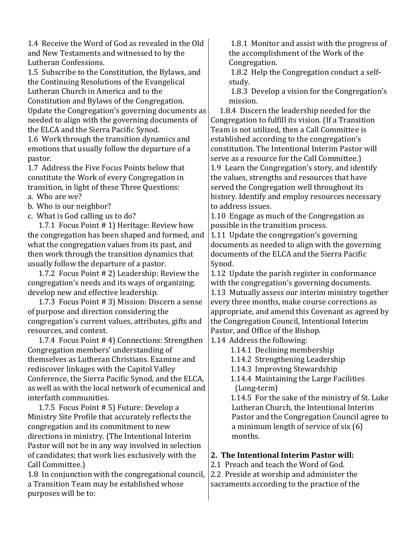1.4 Receive the Word of God as revealed in the Old and New Testaments and witnessed to by the Lutheran Confessions.

1.5 Subscribe to the Constitution, the Bylaws, and the Continuing Resolutions of the Evangelical Lutheran Church in America and to the Constitution and Bylaws of the Congregation. Update the Congregation's governing documents as needed to align with the governing documents of the ELCA and the Sierra Pacific Synod.

1.6 Work through the transition dynamics and emotions that usually follow the departure of a pastor.

1.7 Address the Five Focus Points below that constitute the Work of every Congregation in transition, in light of these Three Questions:

- a. Who are we?
- b. Who is our neighbor?
- c. What is God calling us to do?

 1.7.1 Focus Point # 1) Heritage: Review how the congregation has been shaped and formed, and what the congregation values from its past, and then work through the transition dynamics that usually follow the departure of a pastor.

 1.7.2 Focus Point # 2) Leadership: Review the congregation's needs and its ways of organizing; develop new and effective leadership.

 1.7.3 Focus Point # 3) Mission: Discern a sense of purpose and direction considering the congregation's current values, attributes, gifts and resources, and context.

 1.7.4 Focus Point # 4) Connections: Strengthen Congregation members' understanding of themselves as Lutheran Christians. Examine and rediscover linkages with the Capitol Valley Conference, the Sierra Pacific Synod, and the ELCA, as well as with the local network of ecumenical and interfaith communities.

 1.7.5 Focus Point # 5) Future: Develop a Ministry Site Profile that accurately reflects the congregation and its commitment to new directions in ministry. (The Intentional Interim Pastor will not be in any way involved in selection of candidates; that work lies exclusively with the Call Committee.)

1.8 In conjunction with the congregational council, a Transition Team may be established whose purposes will be to:

1.8.1 Monitor and assist with the progress of the accomplishment of the Work of the Congregation.

1.8.2 Help the Congregation conduct a selfstudy.

1.8.3 Develop a vision for the Congregation's mission.

 1.8.4 Discern the leadership needed for the Congregation to fulfill its vision. (If a Transition Team is not utilized, then a Call Committee is established according to the congregation's constitution. The Intentional Interim Pastor will serve as a resource for the Call Committee.) 1.9 Learn the Congregation's story, and identify the values, strengths and resources that have served the Congregation well throughout its history. Identify and employ resources necessary to address issues.

1.10 Engage as much of the Congregation as possible in the transition process.

1.11 Update the congregation's governing documents as needed to align with the governing documents of the ELCA and the Sierra Pacific Synod.

1.12 Update the parish register in conformance with the congregation's governing documents.

1.13 Mutually assess our interim ministry together every three months, make course corrections as appropriate, and amend this Covenant as agreed by the Congregation Council, Intentional Interim Pastor, and Office of the Bishop.

1.14 Address the following:

1.14.1 Declining membership

1.14.2 Strengthening Leadership

1.14.3 Improving Stewardship

 1.14.4 Maintaining the Large Facilities (Long-term)

 1.14.5 For the sake of the ministry of St. Luke Lutheran Church, the Intentional Interim Pastor and the Congregation Council agree to a minimum length of service of six (6) months.

#### **2. The Intentional Interim Pastor will:**

2.1 Preach and teach the Word of God.

2.2 Preside at worship and administer the sacraments according to the practice of the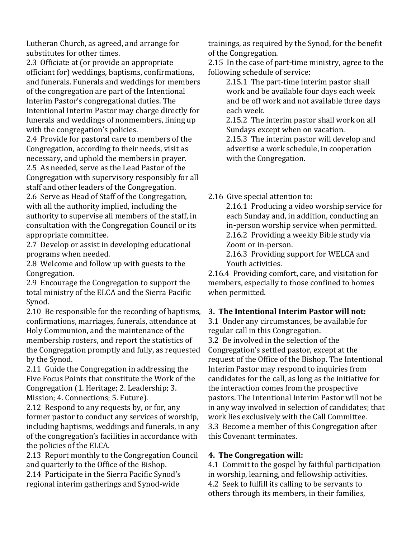Lutheran Church, as agreed, and arrange for substitutes for other times.

2.3 Officiate at (or provide an appropriate officiant for) weddings, baptisms, confirmations, and funerals. Funerals and weddings for members of the congregation are part of the Intentional Interim Pastor's congregational duties. The Intentional Interim Pastor may charge directly for funerals and weddings of nonmembers, lining up with the congregation's policies.

2.4 Provide for pastoral care to members of the Congregation, according to their needs, visit as necessary, and uphold the members in prayer. 2.5 As needed, serve as the Lead Pastor of the Congregation with supervisory responsibly for all

staff and other leaders of the Congregation. 2.6 Serve as Head of Staff of the Congregation, with all the authority implied, including the authority to supervise all members of the staff, in consultation with the Congregation Council or its appropriate committee.

2.7 Develop or assist in developing educational programs when needed.

2.8 Welcome and follow up with guests to the Congregation.

2.9 Encourage the Congregation to support the total ministry of the ELCA and the Sierra Pacific Synod.

2.10 Be responsible for the recording of baptisms, confirmations, marriages, funerals, attendance at Holy Communion, and the maintenance of the membership rosters, and report the statistics of the Congregation promptly and fully, as requested by the Synod.

2.11 Guide the Congregation in addressing the Five Focus Points that constitute the Work of the Congregation (1. Heritage; 2. Leadership; 3. Mission; 4. Connections; 5. Future).

2.12 Respond to any requests by, or for, any former pastor to conduct any services of worship, including baptisms, weddings and funerals, in any of the congregation's facilities in accordance with the policies of the ELCA.

2.13 Report monthly to the Congregation Council and quarterly to the Office of the Bishop.

2.14 Participate in the Sierra Pacific Synod's regional interim gatherings and Synod-wide

trainings, as required by the Synod, for the benefit of the Congregation.

2.15 In the case of part-time ministry, agree to the following schedule of service:

 2.15.1 The part-time interim pastor shall work and be available four days each week and be off work and not available three days each week.

 2.15.2 The interim pastor shall work on all Sundays except when on vacation.

 2.15.3 The interim pastor will develop and advertise a work schedule, in cooperation with the Congregation.

2.16 Give special attention to:

 2.16.1 Producing a video worship service for each Sunday and, in addition, conducting an in-person worship service when permitted. 2.16.2 Providing a weekly Bible study via Zoom or in-person.

 2.16.3 Providing support for WELCA and Youth activities.

2.16.4 Providing comfort, care, and visitation for members, especially to those confined to homes when permitted.

#### **3. The Intentional Interim Pastor will not:**

3.1 Under any circumstances, be available for regular call in this Congregation.

3.2 Be involved in the selection of the Congregation's settled pastor, except at the request of the Office of the Bishop. The Intentional Interim Pastor may respond to inquiries from candidates for the call, as long as the initiative for the interaction comes from the prospective pastors. The Intentional Interim Pastor will not be in any way involved in selection of candidates; that work lies exclusively with the Call Committee. 3.3 Become a member of this Congregation after this Covenant terminates.

### **4. The Congregation will:**

4.1 Commit to the gospel by faithful participation in worship, learning, and fellowship activities. 4.2 Seek to fulfill its calling to be servants to others through its members, in their families,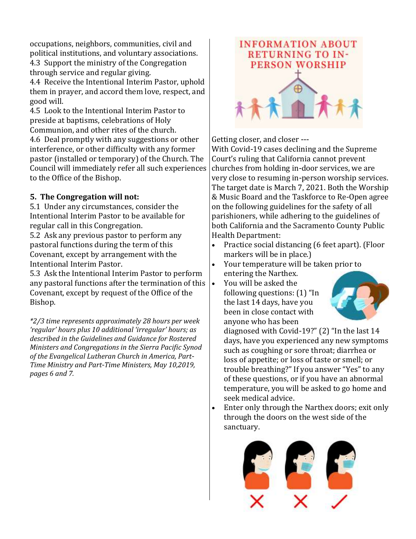occupations, neighbors, communities, civil and political institutions, and voluntary associations. 4.3 Support the ministry of the Congregation through service and regular giving.

4.4 Receive the Intentional Interim Pastor, uphold them in prayer, and accord them love, respect, and good will.

4.5 Look to the Intentional Interim Pastor to preside at baptisms, celebrations of Holy

Communion, and other rites of the church. 4.6 Deal promptly with any suggestions or other interference, or other difficulty with any former pastor (installed or temporary) of the Church. The Council will immediately refer all such experiences to the Office of the Bishop.

### **5. The Congregation will not:**

5.1 Under any circumstances, consider the Intentional Interim Pastor to be available for regular call in this Congregation.

5.2 Ask any previous pastor to perform any pastoral functions during the term of this Covenant, except by arrangement with the Intentional Interim Pastor.

5.3 Ask the Intentional Interim Pastor to perform any pastoral functions after the termination of this Covenant, except by request of the Office of the Bishop.

*\*2/3 time represents approximately 28 hours per week 'regular' hours plus 10 additional 'irregular' hours; as described in the Guidelines and Guidance for Rostered Ministers and Congregations in the Sierra Pacific Synod of the Evangelical Lutheran Church in America, Part-Time Ministry and Part-Time Ministers, May 10,2019, pages 6 and 7.* 



Getting closer, and closer ---

With Covid-19 cases declining and the Supreme Court's ruling that California cannot prevent churches from holding in-door services, we are very close to resuming in-person worship services. The target date is March 7, 2021. Both the Worship & Music Board and the Taskforce to Re-Open agree on the following guidelines for the safety of all parishioners, while adhering to the guidelines of both California and the Sacramento County Public Health Department:

- Practice social distancing (6 feet apart). (Floor markers will be in place.)
- Your temperature will be taken prior to entering the Narthex.
- You will be asked the following questions: (1) "In the last 14 days, have you been in close contact with anyone who has been



diagnosed with Covid-19?" (2) "In the last 14 days, have you experienced any new symptoms such as coughing or sore throat; diarrhea or loss of appetite; or loss of taste or smell; or trouble breathing?" If you answer "Yes" to any of these questions, or if you have an abnormal temperature, you will be asked to go home and seek medical advice.

• Enter only through the Narthex doors; exit only through the doors on the west side of the sanctuary.

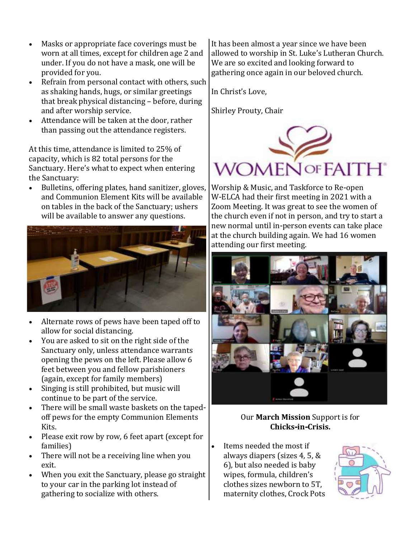- Masks or appropriate face coverings must be worn at all times, except for children age 2 and under. If you do not have a mask, one will be provided for you.
- Refrain from personal contact with others, such as shaking hands, hugs, or similar greetings that break physical distancing – before, during and after worship service.
- Attendance will be taken at the door, rather than passing out the attendance registers.

At this time, attendance is limited to 25% of capacity, which is 82 total persons for the Sanctuary. Here's what to expect when entering the Sanctuary:

• Bulletins, offering plates, hand sanitizer, gloves, and Communion Element Kits will be available on tables in the back of the Sanctuary; ushers will be available to answer any questions.



- Alternate rows of pews have been taped off to allow for social distancing.
- You are asked to sit on the right side of the Sanctuary only, unless attendance warrants opening the pews on the left. Please allow 6 feet between you and fellow parishioners (again, except for family members)
- Singing is still prohibited, but music will continue to be part of the service.
- There will be small waste baskets on the tapedoff pews for the empty Communion Elements Kits.
- Please exit row by row, 6 feet apart (except for families)
- There will not be a receiving line when you exit.
- When you exit the Sanctuary, please go straight to your car in the parking lot instead of gathering to socialize with others.

It has been almost a year since we have been allowed to worship in St. Luke's Lutheran Church. We are so excited and looking forward to gathering once again in our beloved church.

In Christ's Love,

Shirley Prouty, Chair



Worship & Music, and Taskforce to Re-open W-ELCA had their first meeting in 2021 with a Zoom Meeting. It was great to see the women of the church even if not in person, and try to start a new normal until in-person events can take place at the church building again. We had 16 women attending our first meeting.



#### Our **March Mission** Support is for **Chicks-in-Crisis.**

Items needed the most if always diapers (sizes 4, 5, & 6), but also needed is baby wipes, formula, children's clothes sizes newborn to 5T, maternity clothes, Crock Pots

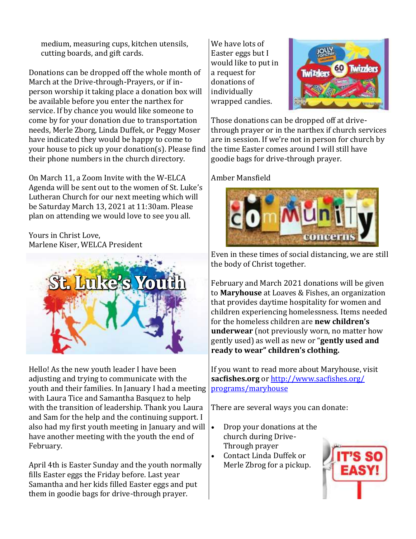medium, measuring cups, kitchen utensils, cutting boards, and gift cards.

Donations can be dropped off the whole month of March at the Drive-through-Prayers, or if inperson worship it taking place a donation box will be available before you enter the narthex for service. If by chance you would like someone to come by for your donation due to transportation needs, Merle Zborg, Linda Duffek, or Peggy Moser have indicated they would be happy to come to your house to pick up your donation(s). Please find their phone numbers in the church directory.

On March 11, a Zoom Invite with the W-ELCA Agenda will be sent out to the women of St. Luke's Lutheran Church for our next meeting which will be Saturday March 13, 2021 at 11:30am. Please plan on attending we would love to see you all.

Yours in Christ Love, Marlene Kiser, WELCA President



Hello! As the new youth leader I have been adjusting and trying to communicate with the youth and their families. In January I had a meeting with Laura Tice and Samantha Basquez to help with the transition of leadership. Thank you Laura and Sam for the help and the continuing support. I also had my first youth meeting in January and will have another meeting with the youth the end of February.

April 4th is Easter Sunday and the youth normally fills Easter eggs the Friday before. Last year Samantha and her kids filled Easter eggs and put them in goodie bags for drive-through prayer.

We have lots of Easter eggs but I would like to put in a request for donations of individually wrapped candies.



Those donations can be dropped off at drivethrough prayer or in the narthex if church services are in session. If we're not in person for church by the time Easter comes around I will still have goodie bags for drive-through prayer.

Amber Mansfield



Even in these times of social distancing, we are still the body of Christ together.

February and March 2021 donations will be given to **Maryhouse** at Loaves & Fishes, an organization that provides daytime hospitality for women and children experiencing homelessness. Items needed for the homeless children are **new children's underwear** (not previously worn, no matter how gently used) as well as new or "**gently used and ready to wear" children's clothing.** 

If you want to read more about Maryhouse, visit **sacfishes.org** or [http://www.sacfishes.org/](http://www.sacfishes.org/programs/maryhouse) [programs/maryhouse](http://www.sacfishes.org/programs/maryhouse)

There are several ways you can donate:

- Drop your donations at the church during Drive-Through prayer
- Contact Linda Duffek or Merle Zbrog for a pickup.

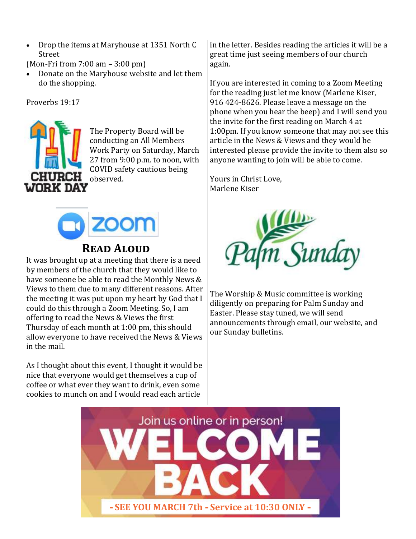- Drop the items at Maryhouse at 1351 North C Street
- (Mon-Fri from 7:00 am 3:00 pm)
- Donate on the Maryhouse website and let them do the shopping.

Proverbs 19:17



The Property Board will be conducting an All Members Work Party on Saturday, March 27 from 9:00 p.m. to noon, with COVID safety cautious being observed.



## **Read Aloud**

It was brought up at a meeting that there is a need by members of the church that they would like to have someone be able to read the Monthly News & Views to them due to many different reasons. After the meeting it was put upon my heart by God that I could do this through a Zoom Meeting. So, I am offering to read the News & Views the first Thursday of each month at 1:00 pm, this should allow everyone to have received the News & Views in the mail.

As I thought about this event, I thought it would be nice that everyone would get themselves a cup of coffee or what ever they want to drink, even some cookies to munch on and I would read each article

in the letter. Besides reading the articles it will be a great time just seeing members of our church again.

If you are interested in coming to a Zoom Meeting for the reading just let me know (Marlene Kiser, 916 424-8626. Please leave a message on the phone when you hear the beep) and I will send you the invite for the first reading on March 4 at 1:00pm. If you know someone that may not see this article in the News & Views and they would be interested please provide the invite to them also so anyone wanting to join will be able to come.

Yours in Christ Love, Marlene Kiser



The Worship & Music committee is working diligently on preparing for Palm Sunday and Easter. Please stay tuned, we will send announcements through email, our website, and our Sunday bulletins.

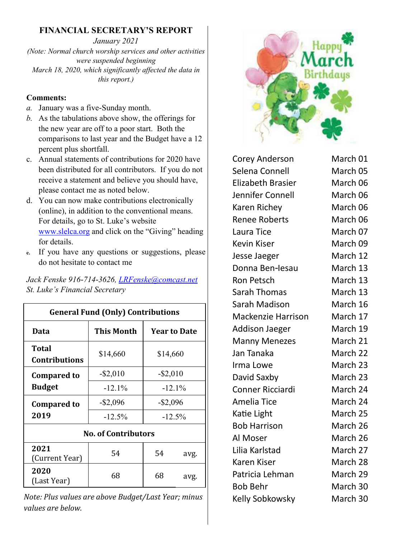### **FINANCIAL SECRETARY'S REPORT**

*January 2021 (Note: Normal church worship services and other activities were suspended beginning March 18, 2020, which significantly affected the data in this report.)* 

#### **Comments:**

- *a.* January was a five-Sunday month.
- *b.* As the tabulations above show, the offerings for the new year are off to a poor start. Both the comparisons to last year and the Budget have a 12 percent plus shortfall.
- c. Annual statements of contributions for 2020 have been distributed for all contributors. If you do not receive a statement and believe you should have, please contact me as noted below.
- d. You can now make contributions electronically (online), in addition to the conventional means. For details, go to St. Luke's website [www.slelca.org](http://www.slelca.org) and click on the "Giving" heading for details.
- **e.** If you have any questions or suggestions, please do not hesitate to contact me

*Jack Fenske 916-714-3626, [LRFenske@comcast.net](mailto:LRFenske@comcast.net) St. Luke's Financial Secretary*

| <b>General Fund (Only) Contributions</b> |                   |                     |      |  |
|------------------------------------------|-------------------|---------------------|------|--|
| Data                                     | <b>This Month</b> | <b>Year to Date</b> |      |  |
| Total<br><b>Contributions</b>            | \$14,660          | \$14,660            |      |  |
| <b>Compared to</b>                       | $-$ \$2,010       | $-$ \$2,010         |      |  |
| <b>Budget</b>                            | $-12.1%$          | $-12.1%$            |      |  |
| <b>Compared to</b>                       | $-$ \$2,096       | $-$ \$2,096         |      |  |
| 2019                                     | $-12.5\%$         | $-12.5\%$           |      |  |
| <b>No. of Contributors</b>               |                   |                     |      |  |
| 2021<br>(Current Year)                   | 54                | 54                  | avg. |  |
| 2020<br>(Last Year)                      | 68                | 68                  | avg. |  |

*Note: Plus values are above Budget/Last Year; minus values are below.* 



| Corey Anderson            | March 01 |
|---------------------------|----------|
| Selena Connell            | March 05 |
| <b>Elizabeth Brasier</b>  | March 06 |
| Jennifer Connell          | March 06 |
| Karen Richey              | March 06 |
| <b>Renee Roberts</b>      | March 06 |
| Laura Tice                | March 07 |
| <b>Kevin Kiser</b>        | March 09 |
| Jesse Jaeger              | March 12 |
| Donna Ben-lesau           | March 13 |
| <b>Ron Petsch</b>         | March 13 |
| <b>Sarah Thomas</b>       | March 13 |
| Sarah Madison             | March 16 |
| <b>Mackenzie Harrison</b> | March 17 |
| <b>Addison Jaeger</b>     | March 19 |
| <b>Manny Menezes</b>      | March 21 |
| Jan Tanaka                | March 22 |
| Irma Lowe                 | March 23 |
| David Saxby               | March 23 |
| <b>Conner Ricciardi</b>   | March 24 |
| <b>Amelia Tice</b>        | March 24 |
| Katie Light               | March 25 |
| <b>Bob Harrison</b>       | March 26 |
| Al Moser                  | March 26 |
| Lilia Karlstad            | March 27 |
| Karen Kiser               | March 28 |
| Patricia Lehman           | March 29 |
| <b>Bob Behr</b>           | March 30 |
| Kelly Sobkowsky           | March 30 |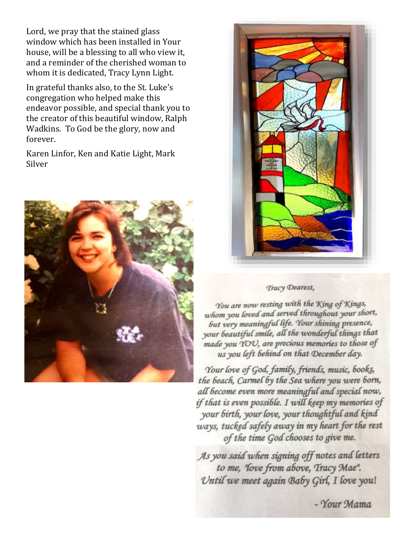Lord, we pray that the stained glass window which has been installed in Your house, will be a blessing to all who view it, and a reminder of the cherished woman to whom it is dedicated, Tracy Lynn Light.

In grateful thanks also, to the St. Luke's congregation who helped make this endeavor possible, and special thank you to the creator of this beautiful window, Ralph Wadkins. To God be the glory, now and forever.

Karen Linfor, Ken and Katie Light, Mark Silver





#### Tracy Dearest,

You are now resting with the King of Kings, whom you loved and served throughout your short, but very meaningful life. Your shining presence, your beautiful smile, all the wonderful things that made you YOU, are precious memories to those of us you left behind on that December day.

Your love of God, family, friends, music, books, the beach, Carmel by the Sea where you were born, all become even more meaningful and special now, if that is even possible. I will keep my memories of your birth, your love, your thoughtful and kind ways, tucked safely away in my heart for the rest of the time God chooses to give me.

As you said when signing off notes and letters to me, 'love from above, Tracy Mae". Until we meet again Baby Girl, I love you!

- Your Mama